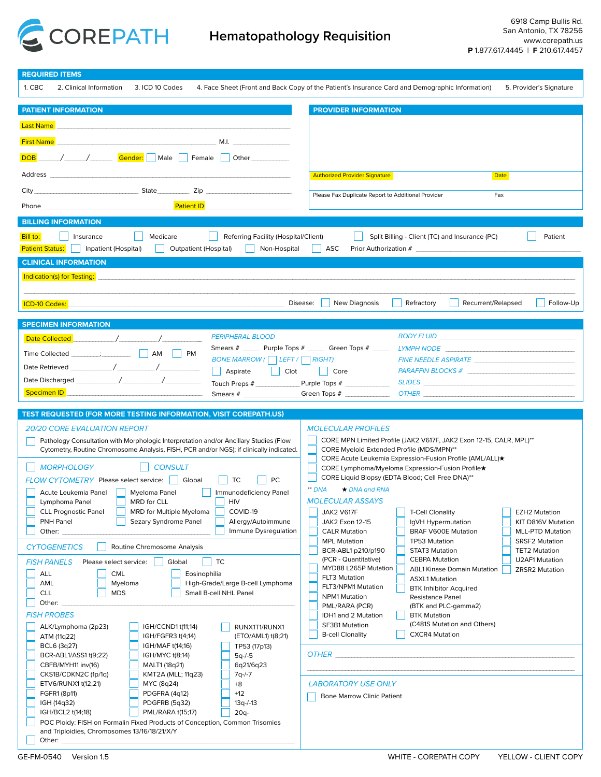

| <b>REQUIRED ITEMS</b>                                                                                                                                                                                                                                       |                                                                                                                                        |  |  |  |  |  |
|-------------------------------------------------------------------------------------------------------------------------------------------------------------------------------------------------------------------------------------------------------------|----------------------------------------------------------------------------------------------------------------------------------------|--|--|--|--|--|
|                                                                                                                                                                                                                                                             |                                                                                                                                        |  |  |  |  |  |
| 1. CBC<br>2. Clinical Information<br>3. ICD 10 Codes<br>4. Face Sheet (Front and Back Copy of the Patient's Insurance Card and Demographic Information)<br>5. Provider's Signature                                                                          |                                                                                                                                        |  |  |  |  |  |
|                                                                                                                                                                                                                                                             |                                                                                                                                        |  |  |  |  |  |
| <b>PATIENT INFORMATION</b><br><b>PROVIDER INFORMATION</b>                                                                                                                                                                                                   |                                                                                                                                        |  |  |  |  |  |
| <b>Last Name</b>                                                                                                                                                                                                                                            |                                                                                                                                        |  |  |  |  |  |
| <b>First Name</b><br>M.I. The contract of the contract of the contract of the contract of the contract of the contract of the contract of the contract of the contract of the contract of the contract of the contract of the contract of the contr         |                                                                                                                                        |  |  |  |  |  |
|                                                                                                                                                                                                                                                             |                                                                                                                                        |  |  |  |  |  |
| Male Female Other<br><b>DOB</b>                                                                                                                                                                                                                             |                                                                                                                                        |  |  |  |  |  |
| Address and the contract of the contract of the contract of the contract of the contract of the contract of the contract of the contract of the contract of the contract of the contract of the contract of the contract of th                              | <b>Authorized Provider Signature</b><br><b>Date</b>                                                                                    |  |  |  |  |  |
|                                                                                                                                                                                                                                                             |                                                                                                                                        |  |  |  |  |  |
| City State Zip Zip                                                                                                                                                                                                                                          | Please Fax Duplicate Report to Additional Provider<br>Fax                                                                              |  |  |  |  |  |
| Phone <b>Manual</b><br>Patient ID <b>Product Contract Contract Contract Contract Contract Contract Contract Contract Contract Contract Contract Contract Contract Contract Contract Contract Contract Contract Contract Contract Contract Contract Cont</b> |                                                                                                                                        |  |  |  |  |  |
| <b>BILLING INFORMATION</b>                                                                                                                                                                                                                                  |                                                                                                                                        |  |  |  |  |  |
|                                                                                                                                                                                                                                                             |                                                                                                                                        |  |  |  |  |  |
| Insurance<br>Medicare<br>Referring Facility (Hospital/Client)<br>Bill to:                                                                                                                                                                                   | Split Billing - Client (TC) and Insurance (PC)<br>Patient                                                                              |  |  |  |  |  |
| Inpatient (Hospital)<br><b>Outpatient (Hospital)</b><br>Non-Hospital<br><b>Patient Status:</b>                                                                                                                                                              | <b>ASC</b><br>Prior Authorization #                                                                                                    |  |  |  |  |  |
| <b>CLINICAL INFORMATION</b>                                                                                                                                                                                                                                 |                                                                                                                                        |  |  |  |  |  |
| Indication(s) for Testing:                                                                                                                                                                                                                                  |                                                                                                                                        |  |  |  |  |  |
|                                                                                                                                                                                                                                                             |                                                                                                                                        |  |  |  |  |  |
|                                                                                                                                                                                                                                                             |                                                                                                                                        |  |  |  |  |  |
| <b>ICD-10 Codes:</b>                                                                                                                                                                                                                                        | New Diagnosis<br>Refractory<br>Recurrent/Relapsed<br>Follow-Up<br>Disease:                                                             |  |  |  |  |  |
| <b>SPECIMEN INFORMATION</b>                                                                                                                                                                                                                                 |                                                                                                                                        |  |  |  |  |  |
| <b>PERIPHERAL BLOOD</b>                                                                                                                                                                                                                                     | BODY FLUID                                                                                                                             |  |  |  |  |  |
| <b>Date Collected</b><br>$\sqrt{2}$                                                                                                                                                                                                                         |                                                                                                                                        |  |  |  |  |  |
| Time Collected <b>Figure 2.1 Figure 2.1</b><br>AM<br><b>PM</b>                                                                                                                                                                                              |                                                                                                                                        |  |  |  |  |  |
| <b>BONE MARROW (CONCEPT / CONCERT)</b><br>Date Retrieved / / /                                                                                                                                                                                              | FINE NEEDLE ASPIRATE                                                                                                                   |  |  |  |  |  |
| Aspirate<br>$\vert$ Clot<br>Date Discharged / / /                                                                                                                                                                                                           | <b>PARAFFIN BLOCKS #</b> 2007 2008 2014<br>$\vert$ Core                                                                                |  |  |  |  |  |
| Touch Preps #                                                                                                                                                                                                                                               | SLIDES<br>Purple Tops $#$                                                                                                              |  |  |  |  |  |
| <b>Specimen ID</b><br>Smears #                                                                                                                                                                                                                              | Green Tops #                                                                                                                           |  |  |  |  |  |
|                                                                                                                                                                                                                                                             |                                                                                                                                        |  |  |  |  |  |
|                                                                                                                                                                                                                                                             |                                                                                                                                        |  |  |  |  |  |
| TEST REQUESTED (FOR MORE TESTING INFORMATION, VISIT COREPATH.US)                                                                                                                                                                                            |                                                                                                                                        |  |  |  |  |  |
| <b>20/20 CORE EVALUATION REPORT</b>                                                                                                                                                                                                                         | <b>MOLECULAR PROFILES</b>                                                                                                              |  |  |  |  |  |
| Pathology Consultation with Morphologic Interpretation and/or Ancillary Studies (Flow                                                                                                                                                                       | CORE MPN Limited Profile (JAK2 V617F, JAK2 Exon 12-15, CALR, MPL)**                                                                    |  |  |  |  |  |
| Cytometry, Routine Chromosome Analysis, FISH, PCR and/or NGS); if clinically indicated.                                                                                                                                                                     | CORE Myeloid Extended Profile (MDS/MPN)**<br>CORE Acute Leukemia Expression-Fusion Profile (AML/ALL)★                                  |  |  |  |  |  |
| <b>MORPHOLOGY</b><br><b>CONSULT</b>                                                                                                                                                                                                                         | CORE Lymphoma/Myeloma Expression-Fusion Profile★                                                                                       |  |  |  |  |  |
| PC<br>FLOW CYTOMETRY Please select service:<br>$\vert$ $\vert$ TC<br>Global                                                                                                                                                                                 | CORE Liquid Biopsy (EDTA Blood; Cell Free DNA)**                                                                                       |  |  |  |  |  |
| Acute Leukemia Panel<br>Myeloma Panel<br>Immunodeficiency Panel                                                                                                                                                                                             | ** DNA<br>$\star$ DNA and RNA                                                                                                          |  |  |  |  |  |
| Lymphoma Panel<br>MRD for CLL<br><b>HIV</b>                                                                                                                                                                                                                 | <b>MOLECULAR ASSAYS</b>                                                                                                                |  |  |  |  |  |
| COVID-19<br><b>CLL Prognostic Panel</b><br>MRD for Multiple Myeloma                                                                                                                                                                                         | JAK2 V617F<br><b>T-Cell Clonality</b><br>EZH2 Mutation                                                                                 |  |  |  |  |  |
| PNH Panel<br>Sezary Syndrome Panel<br>Allergy/Autoimmune                                                                                                                                                                                                    | JAK2 Exon 12-15<br>KIT D816V Mutation<br>IgVH Hypermutation                                                                            |  |  |  |  |  |
| Immune Dysregulation<br>Other:                                                                                                                                                                                                                              | <b>MLL-PTD Mutation</b><br><b>CALR Mutation</b><br><b>BRAF V600E Mutation</b>                                                          |  |  |  |  |  |
| Routine Chromosome Analysis<br><b>CYTOGENETICS</b>                                                                                                                                                                                                          | <b>MPL Mutation</b><br><b>TP53 Mutation</b><br><b>SRSF2 Mutation</b>                                                                   |  |  |  |  |  |
|                                                                                                                                                                                                                                                             | BCR-ABL1 p210/p190<br><b>STAT3 Mutation</b><br><b>TET2 Mutation</b><br>(PCR - Quantitative)<br><b>CEBPA Mutation</b><br>U2AF1 Mutation |  |  |  |  |  |
| TC<br><b>FISH PANELS</b><br>Please select service:<br>Global                                                                                                                                                                                                | MYD88 L265P Mutation<br><b>ABL1 Kinase Domain Mutation</b><br><b>ZRSR2 Mutation</b>                                                    |  |  |  |  |  |
| ALL<br><b>CML</b><br>Eosinophilia                                                                                                                                                                                                                           | <b>FLT3 Mutation</b><br><b>ASXL1 Mutation</b>                                                                                          |  |  |  |  |  |
| AML<br>High-Grade/Large B-cell Lymphoma<br>Myeloma<br><b>MDS</b><br><b>CLL</b><br>Small B-cell NHL Panel                                                                                                                                                    | FLT3/NPM1 Mutation<br><b>BTK Inhibitor Acquired</b>                                                                                    |  |  |  |  |  |
| Other:                                                                                                                                                                                                                                                      | <b>NPM1 Mutation</b><br>Resistance Panel                                                                                               |  |  |  |  |  |
| <b>FISH PROBES</b>                                                                                                                                                                                                                                          | PML/RARA (PCR)<br>(BTK and PLC-gamma2)<br><b>BTK Mutation</b><br>IDH1 and 2 Mutation                                                   |  |  |  |  |  |
| RUNX1T1/RUNX1<br>ALK/Lymphoma (2p23)<br>IGH/CCND1 t(11;14)                                                                                                                                                                                                  | (C481S Mutation and Others)<br><b>SF3B1 Mutation</b>                                                                                   |  |  |  |  |  |
| IGH/FGFR3 t(4;14)<br>(ETO/AML1) t(8;21)<br>ATM (11q22)                                                                                                                                                                                                      | <b>CXCR4 Mutation</b><br><b>B-cell Clonality</b>                                                                                       |  |  |  |  |  |
| BCL6 (3q27)<br>IGH/MAF t(14;16)<br>TP53 (17p13)                                                                                                                                                                                                             |                                                                                                                                        |  |  |  |  |  |
| BCR-ABL1/ASS1 t(9;22)<br>IGH/MYC t(8;14)<br>$5q$ -/-5                                                                                                                                                                                                       | <b>OTHER</b>                                                                                                                           |  |  |  |  |  |
| CBFB/MYH11 inv(16)<br>MALT1 (18q21)<br>6q21/6q23                                                                                                                                                                                                            |                                                                                                                                        |  |  |  |  |  |
| CKS1B/CDKN2C (1p/1q)<br>KMT2A (MLL; 11q23)<br>7q-/-7                                                                                                                                                                                                        |                                                                                                                                        |  |  |  |  |  |
| ETV6/RUNX1 t(12;21)<br>MYC (8q24)<br>$+8$<br>FGFR1 (8p11)<br>PDGFRA (4q12)<br>$+12$                                                                                                                                                                         | <b>LABORATORY USE ONLY</b>                                                                                                             |  |  |  |  |  |
| $13q$ -/-13<br>IGH (14q32)<br>PDGFRB (5q32)                                                                                                                                                                                                                 | <b>Bone Marrow Clinic Patient</b>                                                                                                      |  |  |  |  |  |
| PML/RARA t(15;17)<br>$20q -$<br>IGH/BCL2 t(14;18)                                                                                                                                                                                                           |                                                                                                                                        |  |  |  |  |  |
| POC Ploidy: FISH on Formalin Fixed Products of Conception, Common Trisomies<br>and Triploidies, Chromosomes 13/16/18/21/X/Y                                                                                                                                 |                                                                                                                                        |  |  |  |  |  |